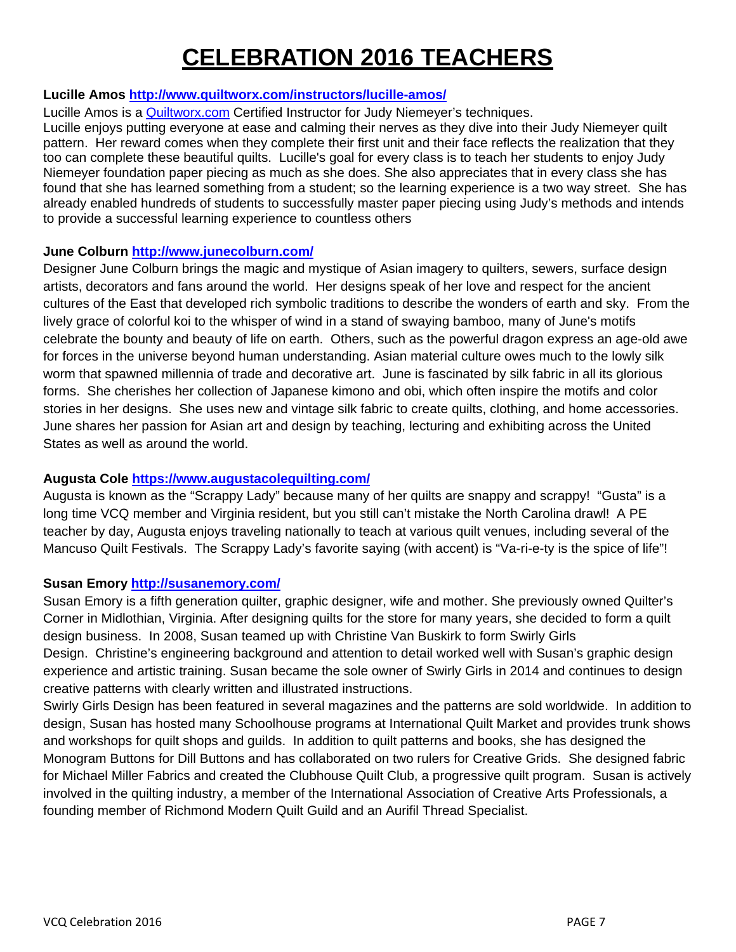## **CELEBRATION 2016 TEACHERS**

## **Lucille Amos http://www.quiltworx.com/instructors/lucille-amos/**

Lucille Amos is a Quiltworx.com Certified Instructor for Judy Niemeyer's techniques.

Lucille enjoys putting everyone at ease and calming their nerves as they dive into their Judy Niemeyer quilt pattern. Her reward comes when they complete their first unit and their face reflects the realization that they too can complete these beautiful quilts. Lucille's goal for every class is to teach her students to enjoy Judy Niemeyer foundation paper piecing as much as she does. She also appreciates that in every class she has found that she has learned something from a student; so the learning experience is a two way street. She has already enabled hundreds of students to successfully master paper piecing using Judy's methods and intends to provide a successful learning experience to countless others

#### **June Colburn http://www.junecolburn.com/**

Designer June Colburn brings the magic and mystique of Asian imagery to quilters, sewers, surface design artists, decorators and fans around the world. Her designs speak of her love and respect for the ancient cultures of the East that developed rich symbolic traditions to describe the wonders of earth and sky. From the lively grace of colorful koi to the whisper of wind in a stand of swaying bamboo, many of June's motifs celebrate the bounty and beauty of life on earth. Others, such as the powerful dragon express an age-old awe for forces in the universe beyond human understanding. Asian material culture owes much to the lowly silk worm that spawned millennia of trade and decorative art. June is fascinated by silk fabric in all its glorious forms. She cherishes her collection of Japanese kimono and obi, which often inspire the motifs and color stories in her designs. She uses new and vintage silk fabric to create quilts, clothing, and home accessories. June shares her passion for Asian art and design by teaching, lecturing and exhibiting across the United States as well as around the world.

## **Augusta Cole https://www.augustacolequilting.com/**

Augusta is known as the "Scrappy Lady" because many of her quilts are snappy and scrappy! "Gusta" is a long time VCQ member and Virginia resident, but you still can't mistake the North Carolina drawl! A PE teacher by day, Augusta enjoys traveling nationally to teach at various quilt venues, including several of the Mancuso Quilt Festivals. The Scrappy Lady's favorite saying (with accent) is "Va-ri-e-ty is the spice of life"!

#### **Susan Emory http://susanemory.com/**

Susan Emory is a fifth generation quilter, graphic designer, wife and mother. She previously owned Quilter's Corner in Midlothian, Virginia. After designing quilts for the store for many years, she decided to form a quilt design business. In 2008, Susan teamed up with Christine Van Buskirk to form Swirly Girls Design. Christine's engineering background and attention to detail worked well with Susan's graphic design experience and artistic training. Susan became the sole owner of Swirly Girls in 2014 and continues to design creative patterns with clearly written and illustrated instructions.

Swirly Girls Design has been featured in several magazines and the patterns are sold worldwide. In addition to design, Susan has hosted many Schoolhouse programs at International Quilt Market and provides trunk shows and workshops for quilt shops and guilds. In addition to quilt patterns and books, she has designed the Monogram Buttons for Dill Buttons and has collaborated on two rulers for Creative Grids. She designed fabric for Michael Miller Fabrics and created the Clubhouse Quilt Club, a progressive quilt program. Susan is actively involved in the quilting industry, a member of the International Association of Creative Arts Professionals, a founding member of Richmond Modern Quilt Guild and an Aurifil Thread Specialist.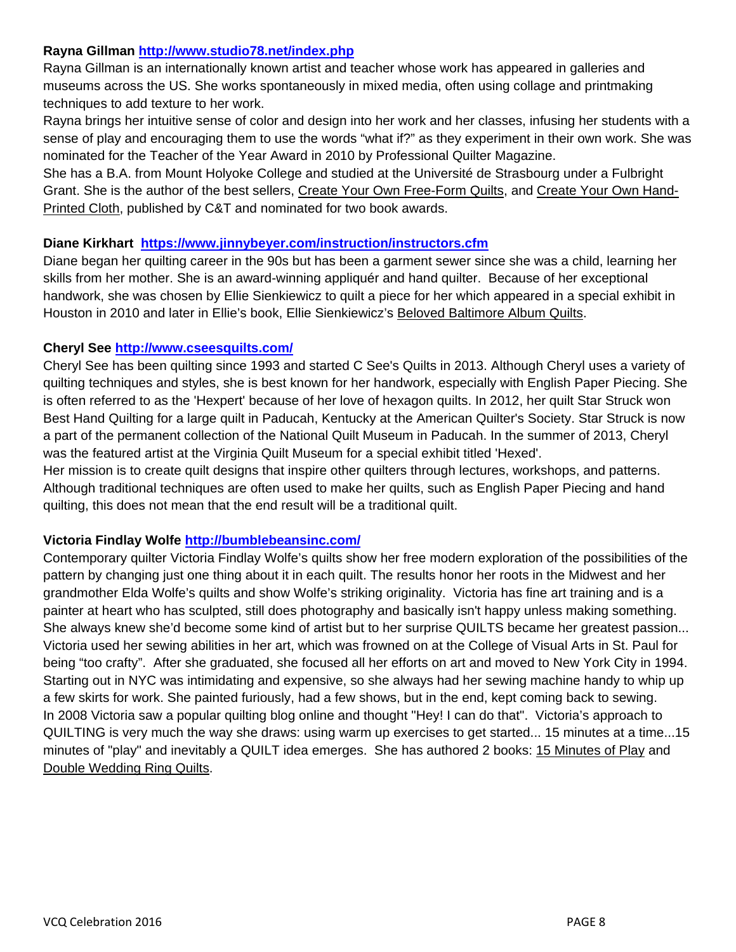#### **Rayna Gillman http://www.studio78.net/index.php**

Rayna Gillman is an internationally known artist and teacher whose work has appeared in galleries and museums across the US. She works spontaneously in mixed media, often using collage and printmaking techniques to add texture to her work.

Rayna brings her intuitive sense of color and design into her work and her classes, infusing her students with a sense of play and encouraging them to use the words "what if?" as they experiment in their own work. She was nominated for the Teacher of the Year Award in 2010 by Professional Quilter Magazine.

She has a B.A. from Mount Holyoke College and studied at the Université de Strasbourg under a Fulbright Grant. She is the author of the best sellers, Create Your Own Free-Form Quilts, and Create Your Own Hand-Printed Cloth, published by C&T and nominated for two book awards.

#### **Diane Kirkhart https://www.jinnybeyer.com/instruction/instructors.cfm**

Diane began her quilting career in the 90s but has been a garment sewer since she was a child, learning her skills from her mother. She is an award-winning appliquér and hand quilter. Because of her exceptional handwork, she was chosen by Ellie Sienkiewicz to quilt a piece for her which appeared in a special exhibit in Houston in 2010 and later in Ellie's book, Ellie Sienkiewicz's Beloved Baltimore Album Quilts.

### **Cheryl See http://www.cseesquilts.com/**

Cheryl See has been quilting since 1993 and started C See's Quilts in 2013. Although Cheryl uses a variety of quilting techniques and styles, she is best known for her handwork, especially with English Paper Piecing. She is often referred to as the 'Hexpert' because of her love of hexagon quilts. In 2012, her quilt Star Struck won Best Hand Quilting for a large quilt in Paducah, Kentucky at the American Quilter's Society. Star Struck is now a part of the permanent collection of the National Quilt Museum in Paducah. In the summer of 2013, Cheryl was the featured artist at the Virginia Quilt Museum for a special exhibit titled 'Hexed'.

Her mission is to create quilt designs that inspire other quilters through lectures, workshops, and patterns. Although traditional techniques are often used to make her quilts, such as English Paper Piecing and hand quilting, this does not mean that the end result will be a traditional quilt.

## **Victoria Findlay Wolfe http://bumblebeansinc.com/**

Contemporary quilter Victoria Findlay Wolfe's quilts show her free modern exploration of the possibilities of the pattern by changing just one thing about it in each quilt. The results honor her roots in the Midwest and her grandmother Elda Wolfe's quilts and show Wolfe's striking originality. Victoria has fine art training and is a painter at heart who has sculpted, still does photography and basically isn't happy unless making something. She always knew she'd become some kind of artist but to her surprise QUILTS became her greatest passion... Victoria used her sewing abilities in her art, which was frowned on at the College of Visual Arts in St. Paul for being "too crafty". After she graduated, she focused all her efforts on art and moved to New York City in 1994. Starting out in NYC was intimidating and expensive, so she always had her sewing machine handy to whip up a few skirts for work. She painted furiously, had a few shows, but in the end, kept coming back to sewing. In 2008 Victoria saw a popular quilting blog online and thought "Hey! I can do that". Victoria's approach to QUILTING is very much the way she draws: using warm up exercises to get started... 15 minutes at a time...15 minutes of "play" and inevitably a QUILT idea emerges. She has authored 2 books: 15 Minutes of Play and Double Wedding Ring Quilts.